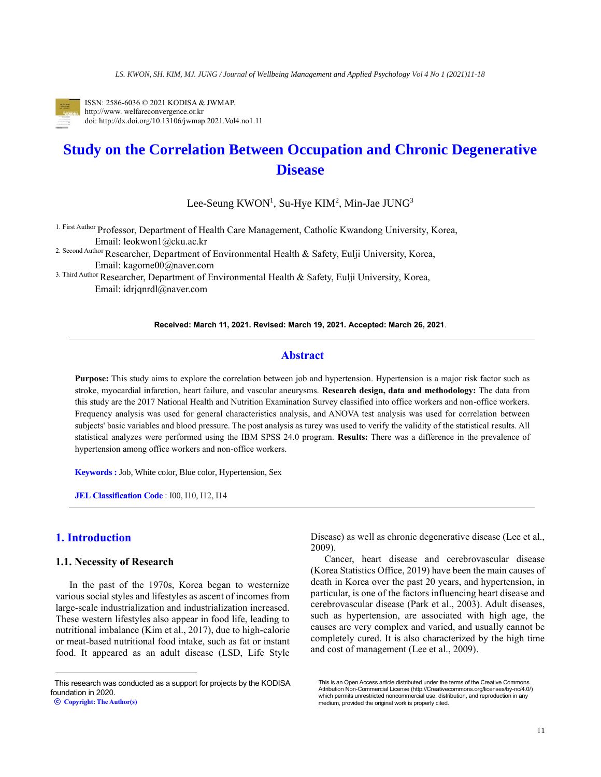

ISSN: 2586-6036 © 2021 KODISA & JWMAP. http://www. welfareconvergence.or.kr doi: http://dx.doi.org/10.13106/jwmap.2021.Vol4.no1.11

# **Study on the Correlation Between Occupation and Chronic Degenerative Disease**

Lee-Seung  $KWON<sup>1</sup>$ , Su-Hye  $KIM<sup>2</sup>$ , Min-Jae JUNG<sup>3</sup>

1. First Author Professor, Department of Health Care Management, Catholic Kwandong University, Korea, Email: leokwon1@cku.ac.kr

2. Second Author Researcher, Department of Environmental Health & Safety, Eulji University, Korea, Email: kagome00@naver.com

3. Third Author Researcher, Department of Environmental Health & Safety, Eulji University, Korea, Email: idrjqnrdl@naver.com

### **Received: March 11, 2021. Revised: March 19, 2021. Accepted: March 26, 2021**.

# **Abstract**

**Purpose:** This study aims to explore the correlation between job and hypertension. Hypertension is a major risk factor such as stroke, myocardial infarction, heart failure, and vascular aneurysms. **Research design, data and methodology:** The data from this study are the 2017 National Health and Nutrition Examination Survey classified into office workers and non-office workers. Frequency analysis was used for general characteristics analysis, and ANOVA test analysis was used for correlation between subjects' basic variables and blood pressure. The post analysis as turey was used to verify the validity of the statistical results. All statistical analyzes were performed using the IBM SPSS 24.0 program. **Results:** There was a difference in the prevalence of hypertension among office workers and non-office workers.

**Keywords :** Job, White color, Blue color, Hypertension, Sex

**JEL Classification Code** : I00, I10, I12, I14

# **1. Introduction<sup>1</sup>**

### **1.1. Necessity of Research**

In the past of the 1970s, Korea began to westernize various social styles and lifestyles as ascent of incomes from large-scale industrialization and industrialization increased. These western lifestyles also appear in food life, leading to nutritional imbalance (Kim et al., 2017), due to high-calorie or meat-based nutritional food intake, such as fat or instant food. It appeared as an adult disease (LSD, Life Style Disease) as well as chronic degenerative disease (Lee et al., 2009).

Cancer, heart disease and cerebrovascular disease (Korea Statistics Office, 2019) have been the main causes of death in Korea over the past 20 years, and hypertension, in particular, is one of the factors influencing heart disease and cerebrovascular disease (Park et al., 2003). Adult diseases, such as hypertension, are associated with high age, the causes are very complex and varied, and usually cannot be completely cured. It is also characterized by the high time and cost of management (Lee et al., 2009).

This research was conducted as a support for projects by the KODISA foundation in 2020.

This is an Open Access article distributed under the terms of the Creative Commons Attribution Non-Commercial License (http://Creativecommons.org/licenses/by-nc/4.0/) which permits unrestricted noncommercial use, distribution, and reproduction in any medium, provided the original work is properly cited.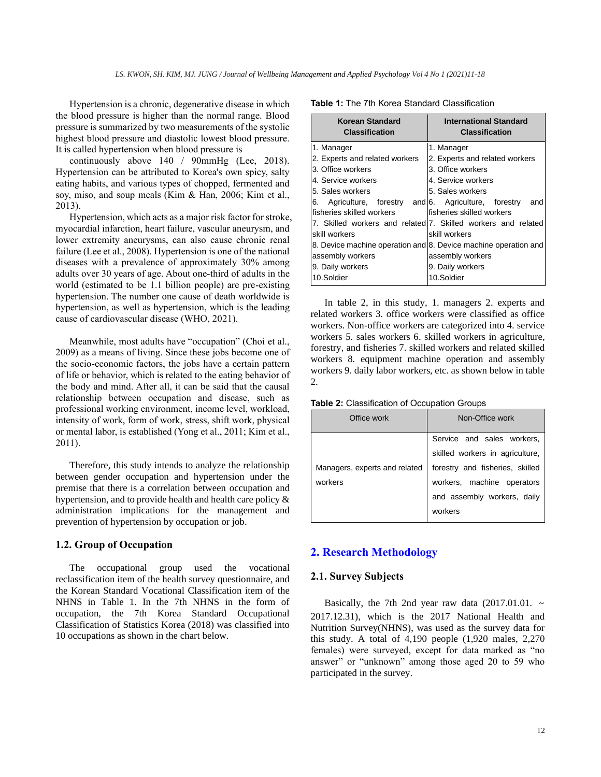Hypertension is a chronic, degenerative disease in which the blood pressure is higher than the normal range. Blood pressure is summarized by two measurements of the systolic highest blood pressure and diastolic lowest blood pressure. It is called hypertension when blood pressure is

continuously above 140 / 90mmHg (Lee, 2018). Hypertension can be attributed to Korea's own spicy, salty eating habits, and various types of chopped, fermented and soy, miso, and soup meals (Kim & Han, 2006; Kim et al., 2013).

Hypertension, which acts as a major risk factor for stroke, myocardial infarction, heart failure, vascular aneurysm, and lower extremity aneurysms, can also cause chronic renal failure (Lee et al., 2008). Hypertension is one of the national diseases with a prevalence of approximately 30% among adults over 30 years of age. About one-third of adults in the world (estimated to be 1.1 billion people) are pre-existing hypertension. The number one cause of death worldwide is hypertension, as well as hypertension, which is the leading cause of cardiovascular disease (WHO, 2021).

Meanwhile, most adults have "occupation" (Choi et al., 2009) as a means of living. Since these jobs become one of the socio-economic factors, the jobs have a certain pattern of life or behavior, which is related to the eating behavior of the body and mind. After all, it can be said that the causal relationship between occupation and disease, such as professional working environment, income level, workload, intensity of work, form of work, stress, shift work, physical or mental labor, is established (Yong et al., 2011; Kim et al., 2011).

Therefore, this study intends to analyze the relationship between gender occupation and hypertension under the premise that there is a correlation between occupation and hypertension, and to provide health and health care policy & administration implications for the management and prevention of hypertension by occupation or job.

# **1.2. Group of Occupation**

The occupational group used the vocational reclassification item of the health survey questionnaire, and the Korean Standard Vocational Classification item of the NHNS in Table 1. In the 7th NHNS in the form of occupation, the 7th Korea Standard Occupational Classification of Statistics Korea (2018) was classified into 10 occupations as shown in the chart below.

| <b>International Standard</b><br><b>Classification</b>          |  |  |  |  |
|-----------------------------------------------------------------|--|--|--|--|
| 1. Manager                                                      |  |  |  |  |
| 2. Experts and related workers                                  |  |  |  |  |
| 3. Office workers                                               |  |  |  |  |
| 4. Service workers                                              |  |  |  |  |
| 5. Sales workers                                                |  |  |  |  |
| 6. Agriculture, forestry and 6. Agriculture, forestry<br>and    |  |  |  |  |
| fisheries skilled workers                                       |  |  |  |  |
| 7. Skilled workers and related 7. Skilled workers and related   |  |  |  |  |
| skill workers                                                   |  |  |  |  |
| 8. Device machine operation and 8. Device machine operation and |  |  |  |  |
| assembly workers                                                |  |  |  |  |
| 9. Daily workers                                                |  |  |  |  |
| 10.Soldier                                                      |  |  |  |  |
|                                                                 |  |  |  |  |

**Table 1:** The 7th Korea Standard Classification

In table 2, in this study, 1. managers 2. experts and related workers 3. office workers were classified as office workers. Non-office workers are categorized into 4. service workers 5. sales workers 6. skilled workers in agriculture, forestry, and fisheries 7. skilled workers and related skilled workers 8. equipment machine operation and assembly workers 9. daily labor workers, etc. as shown below in table  $\mathcal{L}$ 

**Table 2:** Classification of Occupation Groups

| Office work                   | Non-Office work                 |
|-------------------------------|---------------------------------|
|                               | Service and sales workers,      |
|                               | skilled workers in agriculture, |
| Managers, experts and related | forestry and fisheries, skilled |
| workers                       | workers, machine operators      |
|                               | and assembly workers, daily     |
|                               | workers                         |
|                               |                                 |

# **2. Research Methodology**

## **2.1. Survey Subjects**

Basically, the 7th 2nd year raw data  $(2017.01.01.~\sim~$ 2017.12.31), which is the 2017 National Health and Nutrition Survey(NHNS), was used as the survey data for this study. A total of 4,190 people (1,920 males, 2,270 females) were surveyed, except for data marked as "no answer" or "unknown" among those aged 20 to 59 who participated in the survey.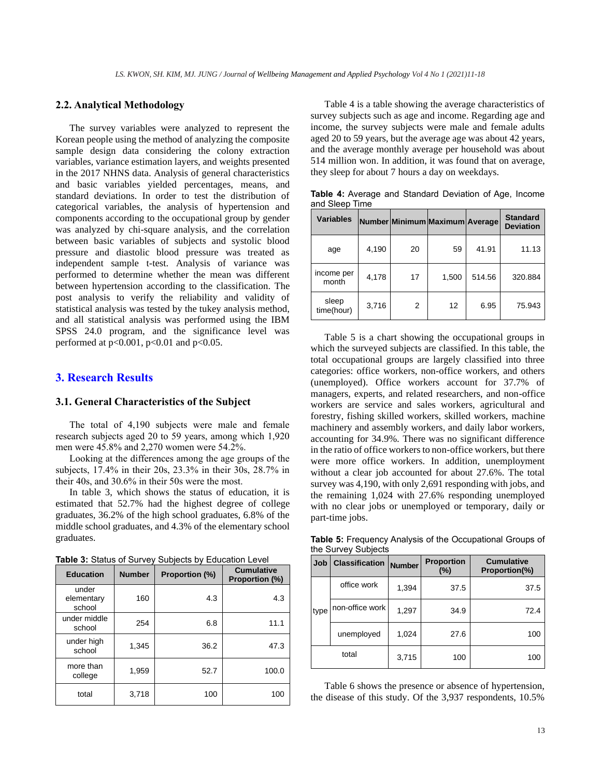### **2.2. Analytical Methodology**

The survey variables were analyzed to represent the Korean people using the method of analyzing the composite sample design data considering the colony extraction variables, variance estimation layers, and weights presented in the 2017 NHNS data. Analysis of general characteristics and basic variables yielded percentages, means, and standard deviations. In order to test the distribution of categorical variables, the analysis of hypertension and components according to the occupational group by gender was analyzed by chi-square analysis, and the correlation between basic variables of subjects and systolic blood pressure and diastolic blood pressure was treated as independent sample t-test. Analysis of variance was performed to determine whether the mean was different between hypertension according to the classification. The post analysis to verify the reliability and validity of statistical analysis was tested by the tukey analysis method, and all statistical analysis was performed using the IBM SPSS 24.0 program, and the significance level was performed at  $p<0.001$ ,  $p<0.01$  and  $p<0.05$ .

# **3. Research Results**

# **3.1. General Characteristics of the Subject**

The total of 4,190 subjects were male and female research subjects aged 20 to 59 years, among which 1,920 men were 45.8% and 2,270 women were 54.2%.

Looking at the differences among the age groups of the subjects, 17.4% in their 20s, 23.3% in their 30s, 28.7% in their 40s, and 30.6% in their 50s were the most.

In table 3, which shows the status of education, it is estimated that 52.7% had the highest degree of college graduates, 36.2% of the high school graduates, 6.8% of the middle school graduates, and 4.3% of the elementary school graduates.

| <b>Education</b>              | <b>Number</b> | Proportion (%) | <b>Cumulative</b><br>Proportion (%) |
|-------------------------------|---------------|----------------|-------------------------------------|
| under<br>elementary<br>school | 160           | 4.3            | 4.3                                 |
| under middle<br>school        | 254           | 6.8            | 11.1                                |
| under high<br>school          | 1,345         | 36.2           | 47.3                                |
| more than<br>college          | 1,959         | 52.7           | 100.0                               |
| total                         | 3,718         | 100            | 100                                 |

**Table 3:** Status of Survey Subjects by Education Level

Table 4 is a table showing the average characteristics of survey subjects such as age and income. Regarding age and income, the survey subjects were male and female adults aged 20 to 59 years, but the average age was about 42 years, and the average monthly average per household was about 514 million won. In addition, it was found that on average, they sleep for about 7 hours a day on weekdays.

**Table 4:** Average and Standard Deviation of Age, Income and Sleep Time

| <b>Variables</b>    |       |    | Number Minimum Maximum Average |        | <b>Standard</b><br><b>Deviation</b> |
|---------------------|-------|----|--------------------------------|--------|-------------------------------------|
| age                 | 4,190 | 20 | 59                             | 41.91  | 11.13                               |
| income per<br>month | 4,178 | 17 | 1,500                          | 514.56 | 320.884                             |
| sleep<br>time(hour) | 3,716 | 2  | 12                             | 6.95   | 75.943                              |

Table 5 is a chart showing the occupational groups in which the surveyed subjects are classified. In this table, the total occupational groups are largely classified into three categories: office workers, non-office workers, and others (unemployed). Office workers account for 37.7% of managers, experts, and related researchers, and non-office workers are service and sales workers, agricultural and forestry, fishing skilled workers, skilled workers, machine machinery and assembly workers, and daily labor workers, accounting for 34.9%. There was no significant difference in the ratio of office workers to non-office workers, but there were more office workers. In addition, unemployment without a clear job accounted for about 27.6%. The total survey was 4,190, with only 2,691 responding with jobs, and the remaining 1,024 with 27.6% responding unemployed with no clear jobs or unemployed or temporary, daily or part-time jobs.

**Table 5:** Frequency Analysis of the Occupational Groups of the Survey Subjects

| Job  | <b>Classification</b> | <b>Number</b> | <b>Proportion</b><br>(%) | <b>Cumulative</b><br>Proportion(%) |
|------|-----------------------|---------------|--------------------------|------------------------------------|
|      | office work           | 1,394         | 37.5                     | 37.5                               |
| type | non-office work       | 1,297         | 34.9                     | 72.4                               |
|      | unemployed            | 1,024         | 27.6                     | 100                                |
|      | total                 | 3,715         | 100                      | 100                                |

Table 6 shows the presence or absence of hypertension, the disease of this study. Of the 3,937 respondents, 10.5%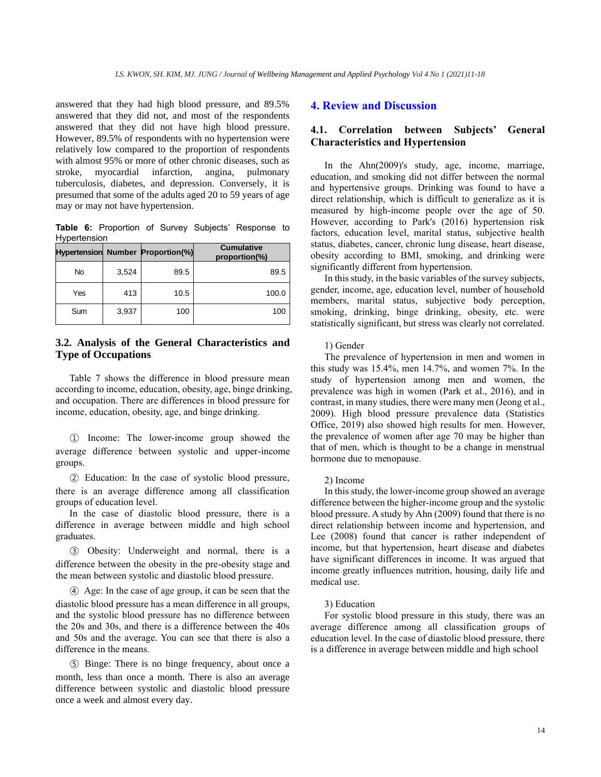answered that they had high blood pressure, and 89.5% answered that they did not, and most of the respondents answered that they did not have high blood pressure. However, 89.5% of respondents with no hypertension were relatively low compared to the proportion of respondents with almost 95% or more of other chronic diseases, such as stroke, myocardial infarction, angina, pulmonary tuberculosis, diabetes, and depression. Conversely, it is presumed that some of the adults aged 20 to 59 years of age may or may not have hypertension.

**Table 6:** Proportion of Survey Subjects' Response to Hypertension

|     |       | <b>Hypertension Number Proportion(%)</b> | <b>Cumulative</b><br>proportion(%) |
|-----|-------|------------------------------------------|------------------------------------|
| No  | 3.524 | 89.5                                     | 89.5                               |
| Yes | 413   | 10.5                                     | 100.0                              |
| Sum | 3,937 | 100                                      | 100                                |

# **3.2. Analysis of the General Characteristics and Type of Occupations**

Table 7 shows the difference in blood pressure mean according to income, education, obesity, age, binge drinking, and occupation. There are differences in blood pressure for income, education, obesity, age, and binge drinking.

① Income: The lower-income group showed the average difference between systolic and upper-income groups.

② Education: In the case of systolic blood pressure, there is an average difference among all classification groups of education level.

In the case of diastolic blood pressure, there is a difference in average between middle and high school graduates.

③ Obesity: Underweight and normal, there is a difference between the obesity in the pre-obesity stage and the mean between systolic and diastolic blood pressure.

④ Age: In the case of age group, it can be seen that the diastolic blood pressure has a mean difference in all groups, and the systolic blood pressure has no difference between the 20s and 30s, and there is a difference between the 40s and 50s and the average. You can see that there is also a difference in the means.

⑤ Binge: There is no binge frequency, about once a month, less than once a month. There is also an average difference between systolic and diastolic blood pressure once a week and almost every day.

### **4. Review and Discussion**

# **4.1. Correlation between Subjects' General Characteristics and Hypertension**

In the Ahn(2009)'s study, age, income, marriage, education, and smoking did not differ between the normal and hypertensive groups. Drinking was found to have a direct relationship, which is difficult to generalize as it is measured by high-income people over the age of 50. However, according to Park's (2016) hypertension risk factors, education level, marital status, subjective health status, diabetes, cancer, chronic lung disease, heart disease, obesity according to BMI, smoking, and drinking were significantly different from hypertension.

In this study, in the basic variables of the survey subjects, gender, income, age, education level, number of household members, marital status, subjective body perception, smoking, drinking, binge drinking, obesity, etc. were statistically significant, but stress was clearly not correlated.

### 1) Gender

The prevalence of hypertension in men and women in this study was 15.4%, men 14.7%, and women 7%. In the study of hypertension among men and women, the prevalence was high in women (Park et al., 2016), and in contrast, in many studies, there were many men (Jeong et al., 2009). High blood pressure prevalence data (Statistics Office, 2019) also showed high results for men. However, the prevalence of women after age 70 may be higher than that of men, which is thought to be a change in menstrual hormone due to menopause.

#### 2) Income

In this study, the lower-income group showed an average difference between the higher-income group and the systolic blood pressure. A study by Ahn (2009) found that there is no direct relationship between income and hypertension, and Lee (2008) found that cancer is rather independent of income, but that hypertension, heart disease and diabetes have significant differences in income. It was argued that income greatly influences nutrition, housing, daily life and medical use.

### 3) Education

For systolic blood pressure in this study, there was an average difference among all classification groups of education level. In the case of diastolic blood pressure, there is a difference in average between middle and high school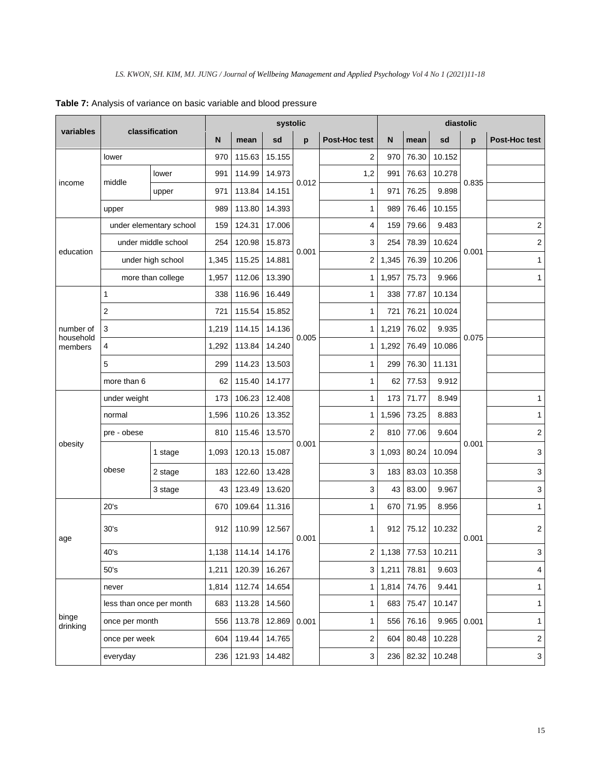|                      | classification           |                     | systolic |        |        |       | diastolic     |       |             |        |       |               |
|----------------------|--------------------------|---------------------|----------|--------|--------|-------|---------------|-------|-------------|--------|-------|---------------|
| variables            |                          |                     | N        | mean   | sd     | p     | Post-Hoc test | N     | mean        | sd     | p     | Post-Hoc test |
| income               | lower                    |                     | 970      | 115.63 | 15.155 |       | 2             | 970   | 76.30       | 10.152 |       |               |
|                      |                          | lower               | 991      | 114.99 | 14.973 | 0.012 | 1,2           | 991   | 76.63       | 10.278 |       |               |
|                      | middle                   | upper               | 971      | 113.84 | 14.151 |       | 1             | 971   | 76.25       | 9.898  | 0.835 |               |
|                      | upper                    |                     | 989      | 113.80 | 14.393 |       | 1             | 989   | 76.46       | 10.155 |       |               |
|                      | under elementary school  |                     | 159      | 124.31 | 17.006 |       | 4             | 159   | 79.66       | 9.483  |       | 2             |
|                      |                          | under middle school | 254      | 120.98 | 15.873 | 0.001 | 3             | 254   | 78.39       | 10.624 |       | 2             |
| education            |                          | under high school   | 1,345    | 115.25 | 14.881 |       | 2             | 1,345 | 76.39       | 10.206 | 0.001 | 1             |
|                      |                          | more than college   | 1,957    | 112.06 | 13.390 |       | 1             | 1,957 | 75.73       | 9.966  |       | 1             |
|                      | 1                        |                     | 338      | 116.96 | 16.449 |       | 1             | 338   | 77.87       | 10.134 |       |               |
|                      | $\sqrt{2}$               |                     | 721      | 115.54 | 15.852 |       | 1             | 721   | 76.21       | 10.024 |       |               |
| number of            | 3                        |                     | 1,219    | 114.15 | 14.136 |       | 1             | 1,219 | 76.02       | 9.935  |       |               |
| household<br>members | 4                        |                     | 1,292    | 113.84 | 14.240 | 0.005 | 1             | 1,292 | 76.49       | 10.086 | 0.075 |               |
|                      | 5                        |                     | 299      | 114.23 | 13.503 |       | 1             | 299   | 76.30       | 11.131 |       |               |
|                      | more than 6              |                     | 62       | 115.40 | 14.177 |       | 1             | 62    | 77.53       | 9.912  |       |               |
|                      | under weight             |                     | 173      | 106.23 | 12.408 |       | 1             | 173   | 71.77       | 8.949  |       | 1             |
|                      | normal                   |                     | 1,596    | 110.26 | 13.352 |       | 1             | 1,596 | 73.25       | 8.883  |       | 1             |
|                      | pre - obese              |                     | 810      | 115.46 | 13.570 |       | 2             | 810   | 77.06       | 9.604  |       | 2             |
| obesity              | obese                    | 1 stage             | 1,093    | 120.13 | 15.087 | 0.001 | 3             | 1,093 | 80.24       | 10.094 | 0.001 | 3             |
|                      |                          | 2 stage             | 183      | 122.60 | 13.428 |       | 3             | 183   | 83.03       | 10.358 |       | 3             |
|                      |                          | 3 stage             | 43       | 123.49 | 13.620 |       | 3             | 43    | 83.00       | 9.967  |       | 3             |
|                      | 20's                     |                     | 670      | 109.64 | 11.316 |       | $\mathbf{1}$  | 670   | 71.95       | 8.956  |       | 1             |
| age                  | 30's                     |                     | 912      | 110.99 | 12.567 | 0.001 | 1             | 912   | 75.12       | 10.232 | 0.001 | 2             |
|                      | 40's                     |                     | 1,138    | 114.14 | 14.176 |       | 2             |       | 1,138 77.53 | 10.211 |       | 3             |
|                      | 50's                     |                     | 1,211    | 120.39 | 16.267 |       | 3             | 1,211 | 78.81       | 9.603  |       | 4             |
|                      | never                    |                     | 1,814    | 112.74 | 14.654 |       | 1             | 1,814 | 74.76       | 9.441  |       | 1             |
|                      | less than once per month |                     | 683      | 113.28 | 14.560 |       | 1             | 683   | 75.47       | 10.147 |       | $\mathbf{1}$  |
| binge<br>drinking    | once per month           |                     | 556      | 113.78 | 12.869 | 0.001 | 1             | 556   | 76.16       | 9.965  | 0.001 | 1             |
|                      | once per week            |                     | 604      | 119.44 | 14.765 |       | 2             | 604   | 80.48       | 10.228 |       | $\mathbf 2$   |
|                      | everyday                 |                     | 236      | 121.93 | 14.482 |       | 3             | 236   | 82.32       | 10.248 |       | $\mathbf{3}$  |

**Table 7:** Analysis of variance on basic variable and blood pressure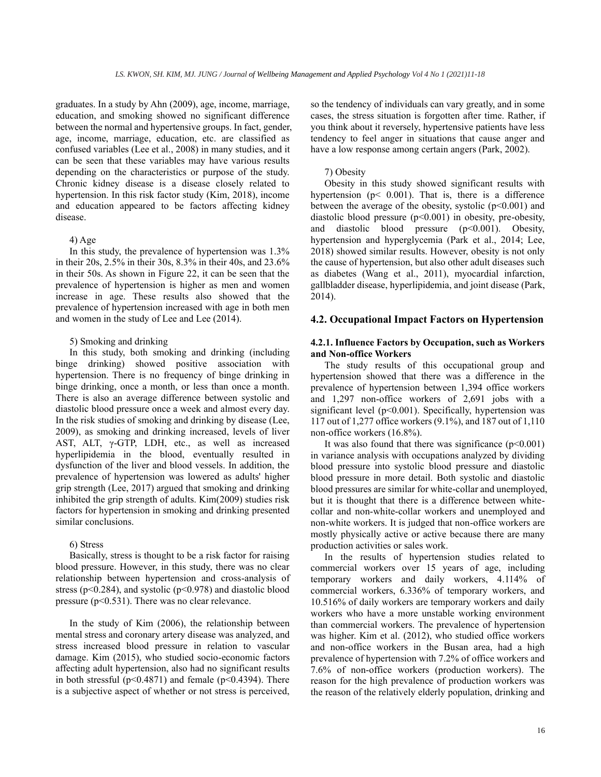graduates. In a study by Ahn (2009), age, income, marriage, education, and smoking showed no significant difference between the normal and hypertensive groups. In fact, gender, age, income, marriage, education, etc. are classified as confused variables (Lee et al., 2008) in many studies, and it can be seen that these variables may have various results depending on the characteristics or purpose of the study. Chronic kidney disease is a disease closely related to hypertension. In this risk factor study (Kim, 2018), income and education appeared to be factors affecting kidney disease.

#### 4) Age

In this study, the prevalence of hypertension was 1.3% in their 20s, 2.5% in their 30s, 8.3% in their 40s, and 23.6% in their 50s. As shown in Figure 22, it can be seen that the prevalence of hypertension is higher as men and women increase in age. These results also showed that the prevalence of hypertension increased with age in both men and women in the study of Lee and Lee (2014).

### 5) Smoking and drinking

In this study, both smoking and drinking (including binge drinking) showed positive association with hypertension. There is no frequency of binge drinking in binge drinking, once a month, or less than once a month. There is also an average difference between systolic and diastolic blood pressure once a week and almost every day. In the risk studies of smoking and drinking by disease (Lee, 2009), as smoking and drinking increased, levels of liver AST, ALT, γ-GTP, LDH, etc., as well as increased hyperlipidemia in the blood, eventually resulted in dysfunction of the liver and blood vessels. In addition, the prevalence of hypertension was lowered as adults' higher grip strength (Lee, 2017) argued that smoking and drinking inhibited the grip strength of adults. Kim(2009) studies risk factors for hypertension in smoking and drinking presented similar conclusions.

### 6) Stress

Basically, stress is thought to be a risk factor for raising blood pressure. However, in this study, there was no clear relationship between hypertension and cross-analysis of stress ( $p<0.284$ ), and systolic ( $p<0.978$ ) and diastolic blood pressure (p<0.531). There was no clear relevance.

In the study of Kim (2006), the relationship between mental stress and coronary artery disease was analyzed, and stress increased blood pressure in relation to vascular damage. Kim (2015), who studied socio-economic factors affecting adult hypertension, also had no significant results in both stressful ( $p<0.4871$ ) and female ( $p<0.4394$ ). There is a subjective aspect of whether or not stress is perceived, so the tendency of individuals can vary greatly, and in some cases, the stress situation is forgotten after time. Rather, if you think about it reversely, hypertensive patients have less tendency to feel anger in situations that cause anger and have a low response among certain angers (Park, 2002).

### 7) Obesity

Obesity in this study showed significant results with hypertension (p< 0.001). That is, there is a difference between the average of the obesity, systolic  $(p<0.001)$  and diastolic blood pressure  $(p<0.001)$  in obesity, pre-obesity, and diastolic blood pressure (p<0.001). Obesity, hypertension and hyperglycemia (Park et al., 2014; Lee, 2018) showed similar results. However, obesity is not only the cause of hypertension, but also other adult diseases such as diabetes (Wang et al., 2011), myocardial infarction, gallbladder disease, hyperlipidemia, and joint disease (Park, 2014).

### **4.2. Occupational Impact Factors on Hypertension**

### **4.2.1. Influence Factors by Occupation, such as Workers and Non-office Workers**

The study results of this occupational group and hypertension showed that there was a difference in the prevalence of hypertension between 1,394 office workers and 1,297 non-office workers of 2,691 jobs with a significant level (p<0.001). Specifically, hypertension was 117 out of 1,277 office workers (9.1%), and 187 out of 1,110 non-office workers (16.8%).

It was also found that there was significance  $(p<0.001)$ in variance analysis with occupations analyzed by dividing blood pressure into systolic blood pressure and diastolic blood pressure in more detail. Both systolic and diastolic blood pressures are similar for white-collar and unemployed, but it is thought that there is a difference between whitecollar and non-white-collar workers and unemployed and non-white workers. It is judged that non-office workers are mostly physically active or active because there are many production activities or sales work.

In the results of hypertension studies related to commercial workers over 15 years of age, including temporary workers and daily workers, 4.114% of commercial workers, 6.336% of temporary workers, and 10.516% of daily workers are temporary workers and daily workers who have a more unstable working environment than commercial workers. The prevalence of hypertension was higher. Kim et al. (2012), who studied office workers and non-office workers in the Busan area, had a high prevalence of hypertension with 7.2% of office workers and 7.6% of non-office workers (production workers). The reason for the high prevalence of production workers was the reason of the relatively elderly population, drinking and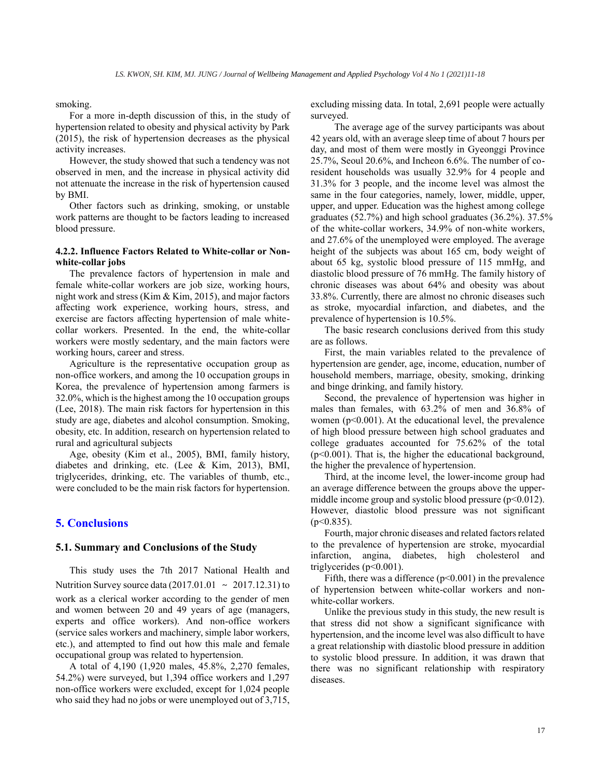smoking.

For a more in-depth discussion of this, in the study of hypertension related to obesity and physical activity by Park (2015), the risk of hypertension decreases as the physical activity increases.

However, the study showed that such a tendency was not observed in men, and the increase in physical activity did not attenuate the increase in the risk of hypertension caused by BMI.

Other factors such as drinking, smoking, or unstable work patterns are thought to be factors leading to increased blood pressure.

### **4.2.2. Influence Factors Related to White-collar or Nonwhite-collar jobs**

The prevalence factors of hypertension in male and female white-collar workers are job size, working hours, night work and stress (Kim & Kim, 2015), and major factors affecting work experience, working hours, stress, and exercise are factors affecting hypertension of male whitecollar workers. Presented. In the end, the white-collar workers were mostly sedentary, and the main factors were working hours, career and stress.

Agriculture is the representative occupation group as non-office workers, and among the 10 occupation groups in Korea, the prevalence of hypertension among farmers is 32.0%, which is the highest among the 10 occupation groups (Lee, 2018). The main risk factors for hypertension in this study are age, diabetes and alcohol consumption. Smoking, obesity, etc. In addition, research on hypertension related to rural and agricultural subjects

Age, obesity (Kim et al., 2005), BMI, family history, diabetes and drinking, etc. (Lee & Kim, 2013), BMI, triglycerides, drinking, etc. The variables of thumb, etc., were concluded to be the main risk factors for hypertension.

# **5. Conclusions**

### **5.1. Summary and Conclusions of the Study**

This study uses the 7th 2017 National Health and Nutrition Survey source data (2017.01.01 ∼ 2017.12.31) to work as a clerical worker according to the gender of men and women between 20 and 49 years of age (managers, experts and office workers). And non-office workers (service sales workers and machinery, simple labor workers, etc.), and attempted to find out how this male and female occupational group was related to hypertension.

A total of 4,190 (1,920 males, 45.8%, 2,270 females, 54.2%) were surveyed, but 1,394 office workers and 1,297 non-office workers were excluded, except for 1,024 people who said they had no jobs or were unemployed out of 3,715, excluding missing data. In total, 2,691 people were actually surveyed.

 The average age of the survey participants was about 42 years old, with an average sleep time of about 7 hours per day, and most of them were mostly in Gyeonggi Province 25.7%, Seoul 20.6%, and Incheon 6.6%. The number of coresident households was usually 32.9% for 4 people and 31.3% for 3 people, and the income level was almost the same in the four categories, namely, lower, middle, upper, upper, and upper. Education was the highest among college graduates (52.7%) and high school graduates (36.2%). 37.5% of the white-collar workers, 34.9% of non-white workers, and 27.6% of the unemployed were employed. The average height of the subjects was about 165 cm, body weight of about 65 kg, systolic blood pressure of 115 mmHg, and diastolic blood pressure of 76 mmHg. The family history of chronic diseases was about 64% and obesity was about 33.8%. Currently, there are almost no chronic diseases such as stroke, myocardial infarction, and diabetes, and the prevalence of hypertension is 10.5%.

The basic research conclusions derived from this study are as follows.

First, the main variables related to the prevalence of hypertension are gender, age, income, education, number of household members, marriage, obesity, smoking, drinking and binge drinking, and family history.

Second, the prevalence of hypertension was higher in males than females, with 63.2% of men and 36.8% of women ( $p<0.001$ ). At the educational level, the prevalence of high blood pressure between high school graduates and college graduates accounted for 75.62% of the total (p<0.001). That is, the higher the educational background, the higher the prevalence of hypertension.

Third, at the income level, the lower-income group had an average difference between the groups above the uppermiddle income group and systolic blood pressure  $(p<0.012)$ . However, diastolic blood pressure was not significant  $(p<0.835)$ .

Fourth, major chronic diseases and related factors related to the prevalence of hypertension are stroke, myocardial infarction, angina, diabetes, high cholesterol and triglycerides  $(p<0.001)$ .

Fifth, there was a difference  $(p<0.001)$  in the prevalence of hypertension between white-collar workers and nonwhite-collar workers.

Unlike the previous study in this study, the new result is that stress did not show a significant significance with hypertension, and the income level was also difficult to have a great relationship with diastolic blood pressure in addition to systolic blood pressure. In addition, it was drawn that there was no significant relationship with respiratory diseases.